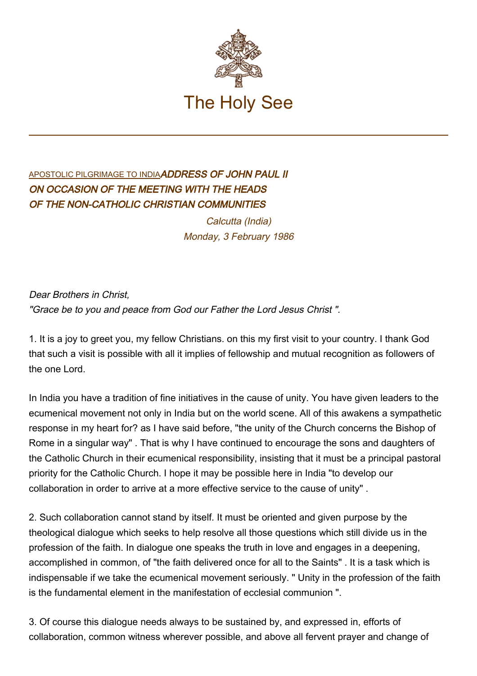

## [APOSTOLIC PILGRIMAGE TO INDIA](http://localhost/holy_father/john_paul_ii/travels/sub_index1986/trav_india.htm)ADDRESS OF JOHN PAUL II ON OCCASION OF THE MEETING WITH THE HEADS OF THE NON-CATHOLIC CHRISTIAN COMMUNITIES

Calcutta (India) Monday, 3 February 1986

Dear Brothers in Christ, "Grace be to you and peace from God our Father the Lord Jesus Christ ".

1. It is a joy to greet you, my fellow Christians. on this my first visit to your country. I thank God that such a visit is possible with all it implies of fellowship and mutual recognition as followers of the one Lord.

In India you have a tradition of fine initiatives in the cause of unity. You have given leaders to the ecumenical movement not only in India but on the world scene. All of this awakens a sympathetic response in my heart for? as I have said before, "the unity of the Church concerns the Bishop of Rome in a singular way" . That is why I have continued to encourage the sons and daughters of the Catholic Church in their ecumenical responsibility, insisting that it must be a principal pastoral priority for the Catholic Church. I hope it may be possible here in India "to develop our collaboration in order to arrive at a more effective service to the cause of unity" .

2. Such collaboration cannot stand by itself. It must be oriented and given purpose by the theological dialogue which seeks to help resolve all those questions which still divide us in the profession of the faith. In dialogue one speaks the truth in love and engages in a deepening, accomplished in common, of "the faith delivered once for all to the Saints" . It is a task which is indispensable if we take the ecumenical movement seriously. " Unity in the profession of the faith is the fundamental element in the manifestation of ecclesial communion ".

3. Of course this dialogue needs always to be sustained by, and expressed in, efforts of collaboration, common witness wherever possible, and above all fervent prayer and change of